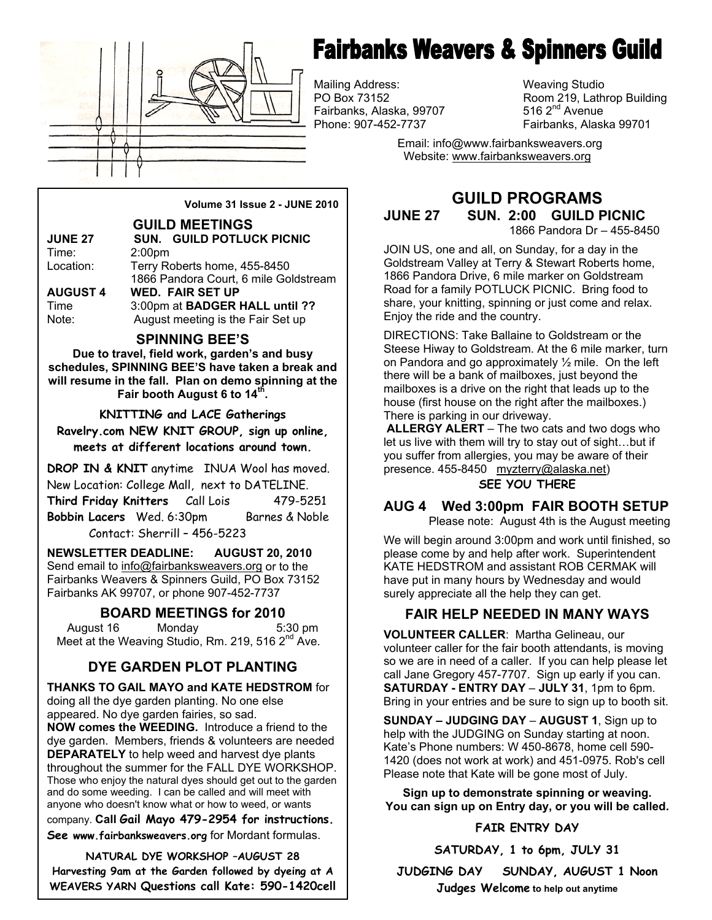

# **Fairbanks Weavers & Spinners Guild**

Mailing Address: Weaving Studio Fairbanks, Alaska, 99707 Phone: 907-452-7737 Fairbanks, Alaska 99701

Room 219, Lathrop Building 516  $2<sup>nd</sup>$  Avenue

 Email: info@www.fairbanksweavers.org Website: www.fairbanksweavers.org

**Volume 31 Issue 2 - JUNE 2010** 

#### **GUILD MEETINGS**

| <b>JUNE 27</b>  | <b>SUN. GUILD POTLUCK PICNIC</b>      |  |  |
|-----------------|---------------------------------------|--|--|
| Time:           | 2:00 <sub>pm</sub>                    |  |  |
| Location:       | Terry Roberts home, 455-8450          |  |  |
|                 | 1866 Pandora Court, 6 mile Goldstream |  |  |
| <b>AUGUST 4</b> | <b>WED. FAIR SET UP</b>               |  |  |
| Time            | 3:00pm at BADGER HALL until ??        |  |  |
| Note:           | August meeting is the Fair Set up     |  |  |
|                 |                                       |  |  |

#### **SPINNING BEE'S**

**Due to travel, field work, garden's and busy schedules, SPINNING BEE'S have taken a break and will resume in the fall. Plan on demo spinning at the Fair booth August 6 to 14th.** 

**KNITTING and LACE Gatherings Ravelry.com NEW KNIT GROUP, sign up online, meets at different locations around town.**

**DROP IN & KNIT** anytime INUA Wool has moved. New Location: College Mall, next to DATELINE. **Third Friday Knitters** Call Lois 479-5251 **Bobbin Lacers** Wed. 6:30pm Barnes & Noble Contact: Sherrill – 456-5223

**NEWSLETTER DEADLINE: AUGUST 20, 2010**  Send email to info@fairbanksweavers.org or to the Fairbanks Weavers & Spinners Guild, PO Box 73152 Fairbanks AK 99707, or phone 907-452-7737

# **BOARD MEETINGS for 2010**

August 16 Monday 5:30 pm Meet at the Weaving Studio, Rm. 219, 516 2<sup>nd</sup> Ave.

# **DYE GARDEN PLOT PLANTING**

**THANKS TO GAIL MAYO and KATE HEDSTROM** for doing all the dye garden planting. No one else appeared. No dye garden fairies, so sad. **NOW comes the WEEDING.** Introduce a friend to the dye garden. Members, friends & volunteers are needed **DEPARATELY** to help weed and harvest dye plants throughout the summer for the FALL DYE WORKSHOP. Those who enjoy the natural dyes should get out to the garden and do some weeding. I can be called and will meet with anyone who doesn't know what or how to weed, or wants

company. **Call Gail Mayo 479-2954 for instructions.** 

**See www.fairbanksweavers.org** for Mordant formulas.

**NATURAL DYE WORKSHOP –AUGUST 28 Harvesting 9am at the Garden followed by dyeing at A WEAVERS YARN Questions call Kate: 590-1420cell** 

# **GUILD PROGRAMS JUNE 27 SUN. 2:00 GUILD PICNIC**

1866 Pandora Dr – 455-8450

JOIN US, one and all, on Sunday, for a day in the Goldstream Valley at Terry & Stewart Roberts home, 1866 Pandora Drive, 6 mile marker on Goldstream Road for a family POTLUCK PICNIC. Bring food to share, your knitting, spinning or just come and relax. Enjoy the ride and the country.

DIRECTIONS: Take Ballaine to Goldstream or the Steese Hiway to Goldstream. At the 6 mile marker, turn on Pandora and go approximately  $\frac{1}{2}$  mile. On the left there will be a bank of mailboxes, just beyond the mailboxes is a drive on the right that leads up to the house (first house on the right after the mailboxes.) There is parking in our driveway.

**ALLERGY ALERT** – The two cats and two dogs who let us live with them will try to stay out of sight…but if you suffer from allergies, you may be aware of their presence. 455-8450 myzterry@alaska.net)

#### **SEE YOU THERE**

# **AUG 4 Wed 3:00pm FAIR BOOTH SETUP**

Please note: August 4th is the August meeting

We will begin around 3:00pm and work until finished, so please come by and help after work. Superintendent KATE HEDSTROM and assistant ROB CERMAK will have put in many hours by Wednesday and would surely appreciate all the help they can get.

# **FAIR HELP NEEDED IN MANY WAYS**

**VOLUNTEER CALLER**: Martha Gelineau, our volunteer caller for the fair booth attendants, is moving so we are in need of a caller. If you can help please let call Jane Gregory 457-7707. Sign up early if you can. **SATURDAY - ENTRY DAY** – **JULY 31**, 1pm to 6pm. Bring in your entries and be sure to sign up to booth sit.

**SUNDAY – JUDGING DAY** – **AUGUST 1**, Sign up to help with the JUDGING on Sunday starting at noon. Kate's Phone numbers: W 450-8678, home cell 590- 1420 (does not work at work) and 451-0975. Rob's cell Please note that Kate will be gone most of July.

**Sign up to demonstrate spinning or weaving. You can sign up on Entry day, or you will be called.** 

#### **FAIR ENTRY DAY**

**SATURDAY, 1 to 6pm, JULY 31** 

**JUDGING DAY SUNDAY, AUGUST 1 Noon Judges Welcome to help out anytime**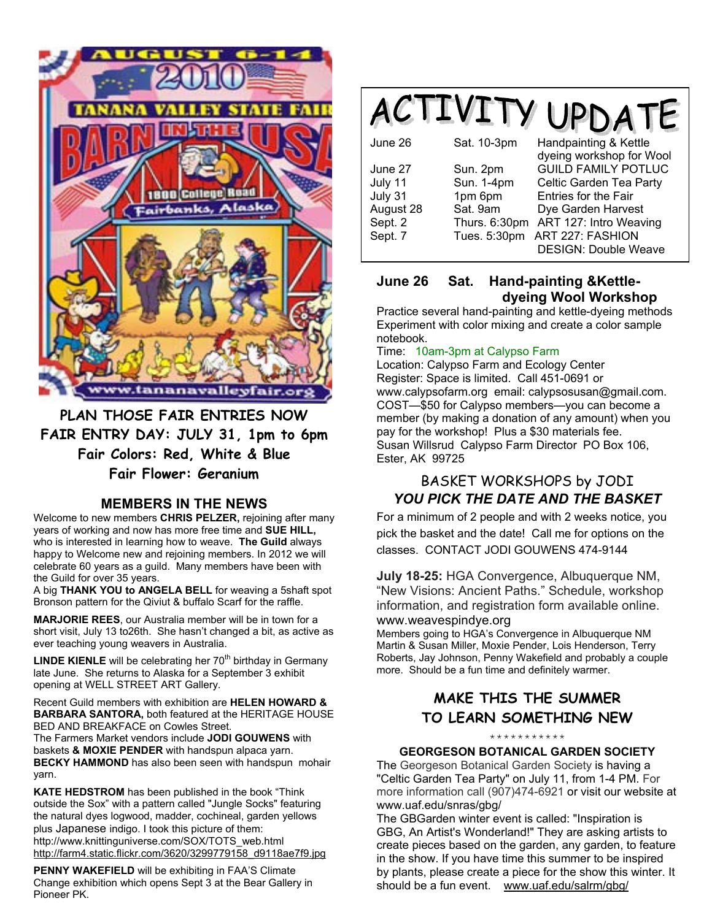

**PLAN THOSE FAIR ENTRIES NOW FAIR ENTRY DAY: JULY 31, 1pm to 6pm Fair Colors: Red, White & Blue Fair Flower: Geranium**

# **MEMBERS IN THE NEWS**

Welcome to new members **CHRIS PELZER,** rejoining after many years of working and now has more free time and **SUE HILL,**  who is interested in learning how to weave. **The Guild** always happy to Welcome new and rejoining members. In 2012 we will celebrate 60 years as a guild. Many members have been with the Guild for over 35 years.

A big **THANK YOU to ANGELA BELL** for weaving a 5shaft spot Bronson pattern for the Qiviut & buffalo Scarf for the raffle.

**MARJORIE REES**, our Australia member will be in town for a short visit, July 13 to26th. She hasn't changed a bit, as active as ever teaching young weavers in Australia.

**LINDE KIENLE** will be celebrating her 70<sup>th</sup> birthday in Germany late June. She returns to Alaska for a September 3 exhibit opening at WELL STREET ART Gallery.

Recent Guild members with exhibition are **HELEN HOWARD & BARBARA SANTORA,** both featured at the HERITAGE HOUSE BED AND BREAKFACE on Cowles Street.

The Farmers Market vendors include **JODI GOUWENS** with baskets **& MOXIE PENDER** with handspun alpaca yarn. **BECKY HAMMOND** has also been seen with handspun mohair yarn.

**KATE HEDSTROM** has been published in the book "Think outside the Sox" with a pattern called "Jungle Socks" featuring the natural dyes logwood, madder, cochineal, garden yellows plus Japanese indigo. I took this picture of them: http://www.knittinguniverse.com/SOX/TOTS\_web.html http://farm4.static.flickr.com/3620/3299779158\_d9118ae7f9.jpg

**PENNY WAKEFIELD** will be exhibiting in FAA'S Climate Change exhibition which opens Sept 3 at the Bear Gallery in Pioneer PK.



| June 26   | Sat. 10-3pm   | Handpainting & Kettle       |
|-----------|---------------|-----------------------------|
|           |               | dyeing workshop for Wool    |
| June 27   | Sun. 2pm      | <b>GUILD FAMILY POTLUC</b>  |
| July 11   | Sun. 1-4pm    | Celtic Garden Tea Party     |
| July 31   | 1pm 6pm       | Entries for the Fair        |
| August 28 | Sat. 9am      | Dye Garden Harvest          |
| Sept. 2   | Thurs. 6:30pm | ART 127: Intro Weaving      |
| Sept. 7   | Tues. 5:30pm  | ART 227: FASHION            |
|           |               | <b>DESIGN: Double Weave</b> |

### **June 26 Sat. Hand-painting &Kettle dyeing Wool Workshop**

Practice several hand-painting and kettle-dyeing methods Experiment with color mixing and create a color sample notebook.

#### Time: 10am-3pm at Calypso Farm

Location: Calypso Farm and Ecology Center Register: Space is limited. Call 451-0691 or www.calypsofarm.org email: calypsosusan@gmail.com. COST—\$50 for Calypso members—you can become a member (by making a donation of any amount) when you pay for the workshop! Plus a \$30 materials fee. Susan Willsrud Calypso Farm Director PO Box 106, Ester, AK 99725

# BASKET WORKSHOPS by JODI *YOU PICK THE DATE AND THE BASKET*

For a minimum of 2 people and with 2 weeks notice, you pick the basket and the date! Call me for options on the classes. CONTACT JODI GOUWENS 474-9144

**July 18-25:** HGA Convergence, Albuquerque NM, "New Visions: Ancient Paths." Schedule, workshop information, and registration form available online. www.weavespindye.org

Members going to HGA's Convergence in Albuquerque NM Martin & Susan Miller, Moxie Pender, Lois Henderson, Terry Roberts, Jay Johnson, Penny Wakefield and probably a couple more. Should be a fun time and definitely warmer.

# **MAKE THIS THE SUMMER TO LEARN SOMETHING NEW**

#### \*\*\*\*\*\*\*\*\*\*\* **GEORGESON BOTANICAL GARDEN SOCIETY**

The Georgeson Botanical Garden Society is having a "Celtic Garden Tea Party" on July 11, from 1-4 PM. For more information call (907)474-6921 or visit our website at www.uaf.edu/snras/gbg/

The GBGarden winter event is called: "Inspiration is GBG, An Artist's Wonderland!" They are asking artists to create pieces based on the garden, any garden, to feature in the show. If you have time this summer to be inspired by plants, please create a piece for the show this winter. It should be a fun event. www.uaf.edu/salrm/gbg/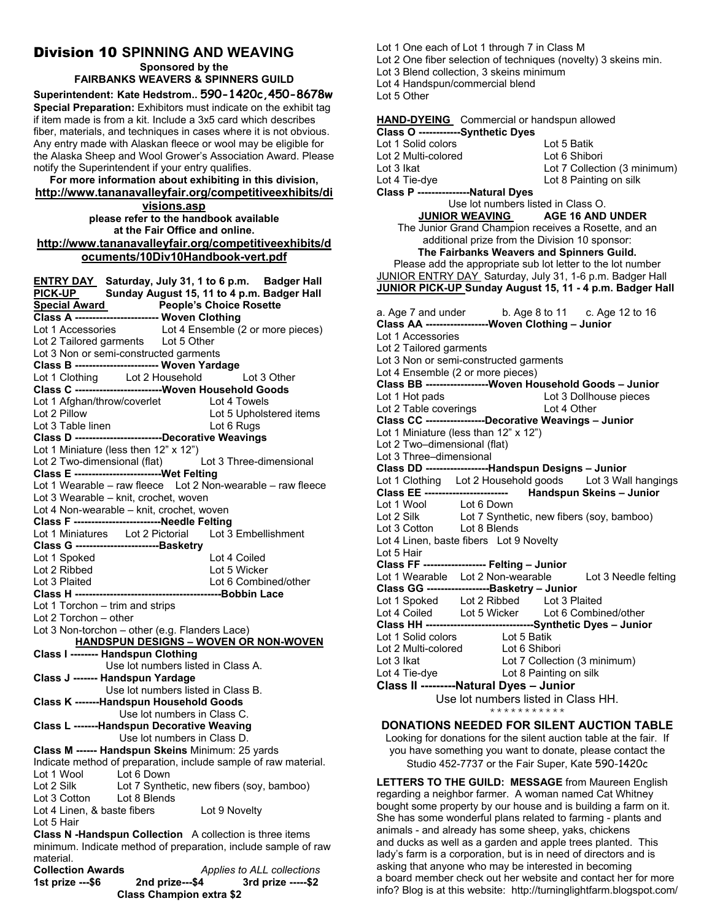# Division 10 **SPINNING AND WEAVING**

**Sponsored by the FAIRBANKS WEAVERS & SPINNERS GUILD** 

**Superintendent: Kate Hedstrom.. 590-1420c,450-8678w Special Preparation:** Exhibitors must indicate on the exhibit tag if item made is from a kit. Include a 3x5 card which describes fiber, materials, and techniques in cases where it is not obvious. Any entry made with Alaskan fleece or wool may be eligible for the Alaska Sheep and Wool Grower's Association Award. Please notify the Superintendent if your entry qualifies.

**For more information about exhibiting in this division, http://www.tananavalleyfair.org/competitiveexhibits/di visions.asp** 

**please refer to the handbook available at the Fair Office and online. http://www.tananavalleyfair.org/competitiveexhibits/d ocuments/10Div10Handbook-vert.pdf**

**ENTRY DAY Saturday, July 31, 1 to 6 p.m. Badger Hall PICK-UP Sunday August 15, 11 to 4 p.m. Badger Hall People's Choice Rosette Class A ------------------------ Woven Clothing**  Lot 1 Accessories Lot 4 Ensemble (2 or more pieces) Lot 2 Tailored garments Lot 5 Other Lot 3 Non or semi-constructed garments **Class B ------------------------ Woven Yardage**  Lot 1 Clothing Lot 2 Household Lot 3 Other **Class C -------------------------Woven Household Goods**  Lot 1 Afghan/throw/coverlet Lot 4 Towels Lot 2 Pillow Lot 5 Upholstered items Lot 3 Table linen Lot 6 Rugs **Class D -------------------------Decorative Weavings**  Lot 1 Miniature (less then 12" x 12") Lot 2 Two-dimensional (flat) Lot 3 Three-dimensional **Class E -------------------------Wet Felting**  Lot 1 Wearable – raw fleece Lot 2 Non-wearable – raw fleece Lot 3 Wearable – knit, crochet, woven Lot 4 Non-wearable – knit, crochet, woven **Class F -------------------------Needle Felting**  Lot 1 Miniatures Lot 2 Pictorial **Class G ------------------------Basketry**  Lot 1 Spoked Lot 4 Coiled Lot 2 Ribbed<br>
Lot 3 Plaited<br>
Lot 6 Combir Lot 6 Combined/other **Class H ------------------------------------------Bobbin Lace**  Lot 1 Torchon – trim and strips Lot 2 Torchon – other Lot 3 Non-torchon – other (e.g. Flanders Lace)  **HANDSPUN DESIGNS – WOVEN OR NON-WOVEN Class I -------- Handspun Clothing**  Use lot numbers listed in Class A. **Class J ------- Handspun Yardage**  Use lot numbers listed in Class B. **Class K -------Handspun Household Goods**  Use lot numbers in Class C. **Class L -------Handspun Decorative Weaving**  Use lot numbers in Class D. **Class M ------ Handspun Skeins** Minimum: 25 yards Indicate method of preparation, include sample of raw material. Lot 1 Wool Lot 6 Down<br>Lot 2 Silk Lot 7 Synthe Lot 2 Silk Lot 7 Synthetic, new fibers (soy, bamboo)<br>Lot 3 Cotton Lot 8 Blends Lot 8 Blends Lot 4 Linen, & baste fibers Lot 9 Novelty Lot 5 Hair **Class N -Handspun Collection** A collection is three items minimum. Indicate method of preparation, include sample of raw material. **Collection Awards** *Applies to ALL collections*  **1st prize ---\$6 2nd prize---\$4 3rd prize -----\$2 Class Champion extra \$2** 

Lot 1 One each of Lot 1 through 7 in Class M

Lot 2 One fiber selection of techniques (novelty) 3 skeins min.

Lot 3 Blend collection, 3 skeins minimum

Lot 4 Handspun/commercial blend

Lot 5 Other

**HAND-DYEING** Commercial or handspun allowed **Class O ------------Synthetic Dyes**  Lot 1 Solid colors Lot 5 Batik Lot 2 Multi-colored Lot 6 Shibori Lot 3 Ikat Lot 7 Collection (3 minimum) Lot 4 Tie-dye Lot 8 Painting on silk **Class P ---------------Natural Dyes**  Use lot numbers listed in Class O.<br>JUNIOR WEAVING AGE 16 AND **AGE 16 AND UNDER** The Junior Grand Champion receives a Rosette, and an additional prize from the Division 10 sponsor: **The Fairbanks Weavers and Spinners Guild.**  Please add the appropriate sub lot letter to the lot number JUNIOR ENTRY DAY Saturday, July 31, 1-6 p.m. Badger Hall **JUNIOR PICK-UP Sunday August 15, 11 - 4 p.m. Badger Hall**  a. Age 7 and under b. Age 8 to 11 c. Age 12 to 16 **Class AA ------------------Woven Clothing – Junior**  Lot 1 Accessories Lot 2 Tailored garments Lot 3 Non or semi-constructed garments Lot 4 Ensemble (2 or more pieces) **Class BB ------------------Woven Household Goods – Junior**  Lot 1 Hot pads Lot 3 Dollhouse pieces Lot 2 Table coverings Lot 4 Other **Class CC -----------------Decorative Weavings – Junior**  Lot 1 Miniature (less than 12" x 12") Lot 2 Two–dimensional (flat) Lot 3 Three–dimensional **Class DD ------------------Handspun Designs – Junior**  Lot 1 Clothing Lot 2 Household goods Lot 3 Wall hangings<br>Class EE ------------------------- Handspun Skeins - Junior **Class EE ------------------------ Handspun Skeins – Junior**  Lot 1 Wool Lot 6 Down<br>
Lot 2 Silk Lot 7 Synthe Lot 7 Synthetic, new fibers (soy, bamboo) Lot 3 Cotton Lot 8 Blends Lot 4 Linen, baste fibers Lot 9 Novelty Lot 5 Hair **Class FF ------------------ Felting – Junior**  Lot 1 Wearable Lot 2 Non-wearable Lot 3 Needle felting **Class GG ------------------Basketry – Junior**  Lot 1 Spoked Lot 2 Ribbed Lot 3 Plaited Lot 4 Coiled Lot 5 Wicker Lot 6 Combined/other **Class HH -------------------------------Synthetic Dyes – Junior**  Lot 1 Solid colors Lot 5 Batik Lot 2 Multi-colored Lot 6 Shibori Lot 3 Ikat Lot 7 Collection (3 minimum)<br>
Lot 4 Tie-dye Lot 8 Painting on silk Lot 8 Painting on silk **Class II ---------Natural Dyes – Junior**  Use lot numbers listed in Class HH. \*\*\*\*\*\*\*\*\*\*\* **DONATIONS NEEDED FOR SILENT AUCTION TABLE** 

Looking for donations for the silent auction table at the fair. If you have something you want to donate, please contact the Studio 452-7737 or the Fair Super, Kate 590-1420c

**LETTERS TO THE GUILD: MESSAGE** from Maureen English regarding a neighbor farmer. A woman named Cat Whitney bought some property by our house and is building a farm on it. She has some wonderful plans related to farming - plants and animals - and already has some sheep, yaks, chickens and ducks as well as a garden and apple trees planted. This lady's farm is a corporation, but is in need of directors and is asking that anyone who may be interested in becoming a board member check out her website and contact her for more info? Blog is at this website: http://turninglightfarm.blogspot.com/